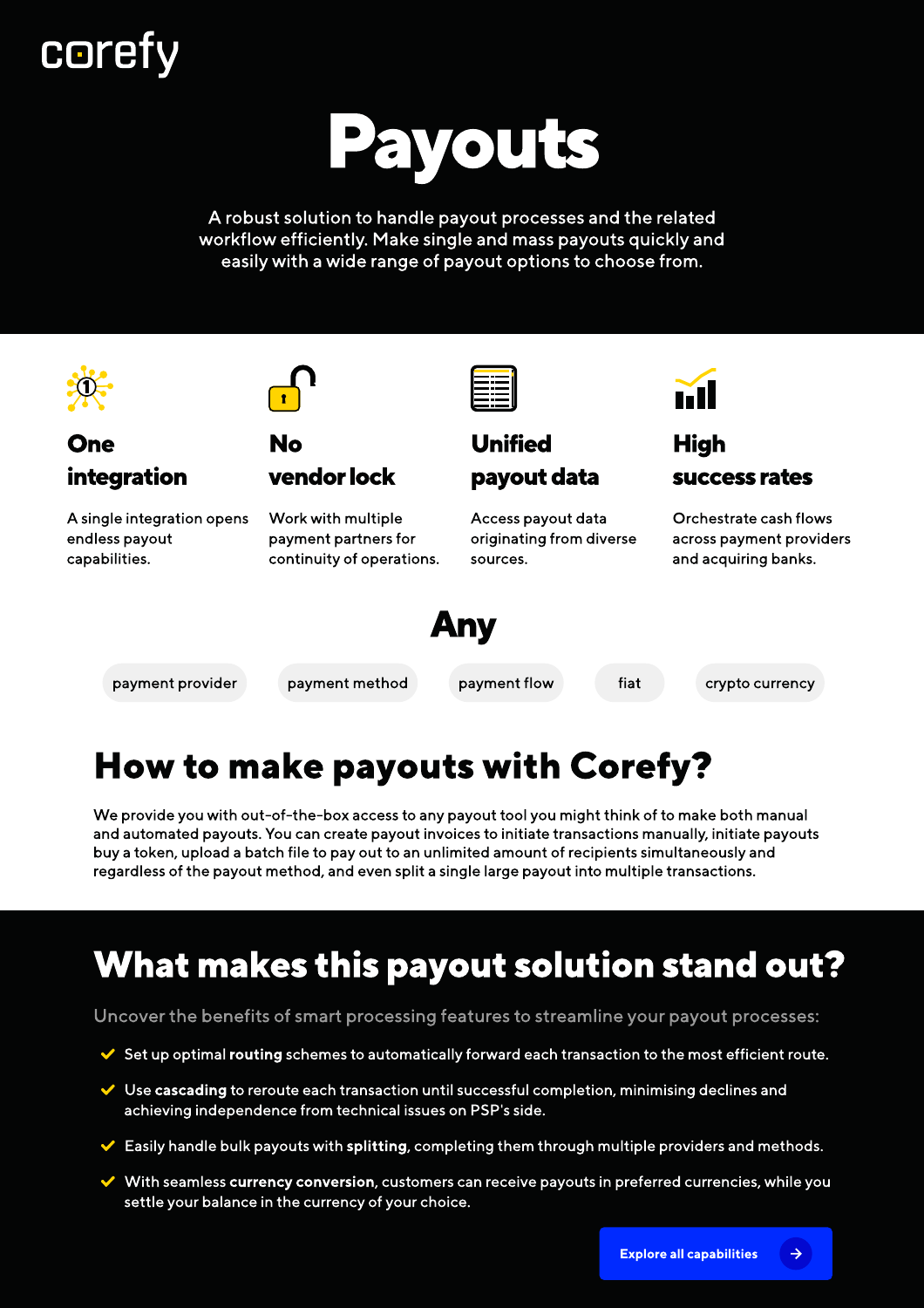# **coref**



A robust solution to handle payout processes and the related workflow efficiently. Make single and mass payouts quickly and easily with a wide range of payout options to choose from.



### How to make payouts with Corefy?

We provide you with out-of-the-box access to any payout tool you might think of to make both manual and automated payouts. You can create payout invoices to initiate transactions manually, initiate payouts buy a token, upload a batch file to pay out to an unlimited amount of recipients simultaneously and regardless of the payout method, and even split a single large payout into multiple transactions.

## What makes this payout solution stand out?

Uncover the benefits of smart processing features to streamline your payout processes:

- $\blacktriangleright$  Set up optimal routing schemes to automatically forward each transaction to the most efficient route.
- $\vee$  Use cascading to reroute each transaction until successful completion, minimising declines and achieving independence from technical issues on PSP's side.
- $\blacktriangleright$  Easily handle bulk payouts with splitting, completing them through multiple providers and methods.
- $\vee$  With seamless currency conversion, customers can receive payouts in preferred currencies, while you settle your balance in the currency of your choice.